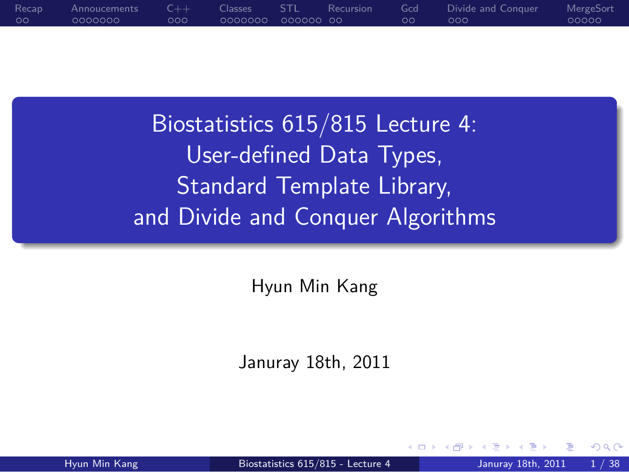### $\circ$ Recap Annoucements<br>0000000  $\circ \circ \circ$  $C++$ Classes<br>000000 . . . . . . STL . . Recursion Gcd<br>00 Divide and Conquer<br>000 0000c MergeSort

.

Biostatistics 615/815 Lecture 4: User-defined Data Types, Standard Template Library, and Divide and Conquer Algorithms

Hyun Min Kang

.. .

Januray 18th, 2011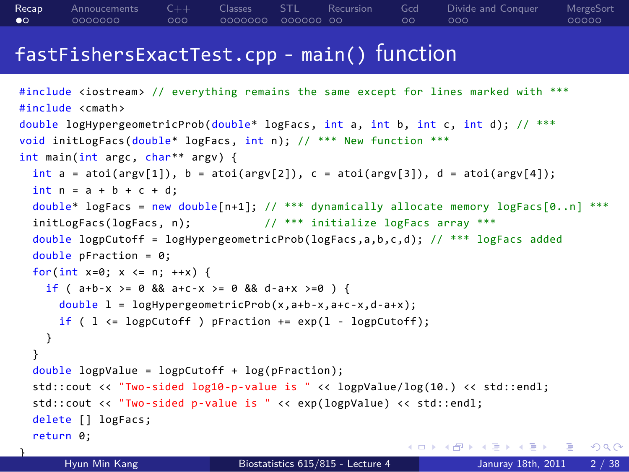### fastFishersExactTest.cpp - main() function

```
. . . . . .
#include <iostream> // everything remains the same except for lines marked with ***
#include <cmath>
double logHypergeometricProb(double* logFacs, int a, int b, int c, int d); // ***
void initLogFacs(double* logFacs, int n); // *** New function ***
int main(int argc, char** argv) {
 int a = atoi(argv[1]), b = atoi(argv[2]), c = atoi(argv[3]), d = atoi(argv[4]);int n = a + b + c + d;
 double* logFacs = new double[n+1]; // *** dynamically allocate memory logFacs[0..n] ***
 initLogFacs(logFacs, n); // *** initialize logFacs array ***
 double logpCutoff = logHypergeometricProb(logFacs,a,b,c,d); // *** logFacs added
  double pFraction = 0;
  for(int x=0; x \le n; ++x) {
   if ( a+b-x >= 0 && a+c-x >= 0 && d-a+x >=0 ) {
     double l = logHypergeometricProb(x,a+b-x,a+c-x,d-a+x);
     if ( 1 \leq logpCutoff ) pFraction += exp(1 - logpCutoff);
   }
 }
  double logpValue = logpCutoff + log(pFraction);
 std::cout << "Two-sided log10-p-value is " << logpValue/log(10.) << std::endl;
 std::cout << "Two-sided p-value is " << exp(logpValue) << std::endl;
 delete [] logFacs;
 return 0;
}
      Hyun Min Kang Biostatistics 615/815 - Lecture 4 Januray 18th, 2011 2 / 38
```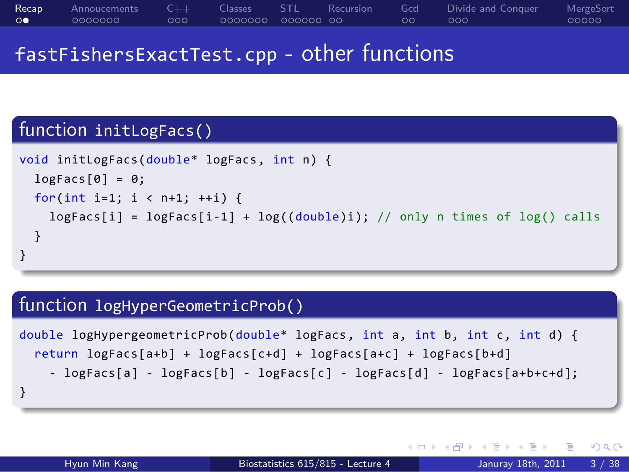### fastFishersExactTest.cpp - other functions

## function initLogFacs()

```
.
}
void initLogFacs(double* logFacs, int n) {
 logFacs[0] = 0;for(int i=1; i < n+1; ++i) {
   logFacs[i] = logFacs[i-1] + log((double)i); // only n times of log() calls
 }
```
.. .

## . function logHyperGeometricProb() ..

```
.
}
double logHypergeometricProb(double* logFacs, int a, int b, int c, int d) {
 return logFacs[a+b] + logFacs[c+d] + logFacs[a+c] + logFacs[b+d]
    - logFacs[a] - logFacs[b] - logFacs[c] - logFacs[d] - logFacs[a+b+c+d];
```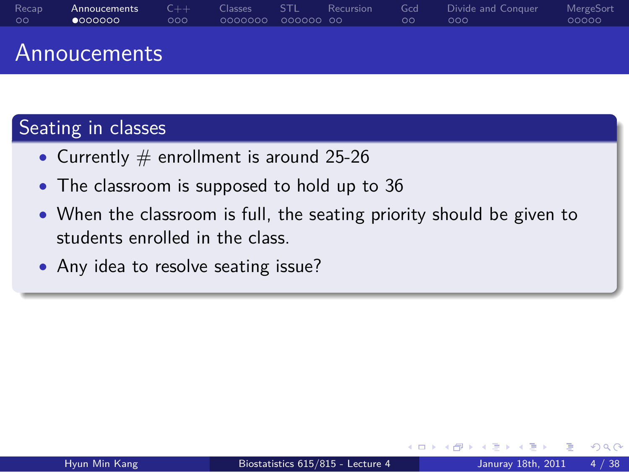### Annoucements

# Seating in classes

- Currently # enrollment is around 25-26
- *•* The classroom is supposed to hold up to 36
- *•* When the classroom is full, the seating priority should be given to students enrolled in the class.

.. .

*•* Any idea to resolve seating issue?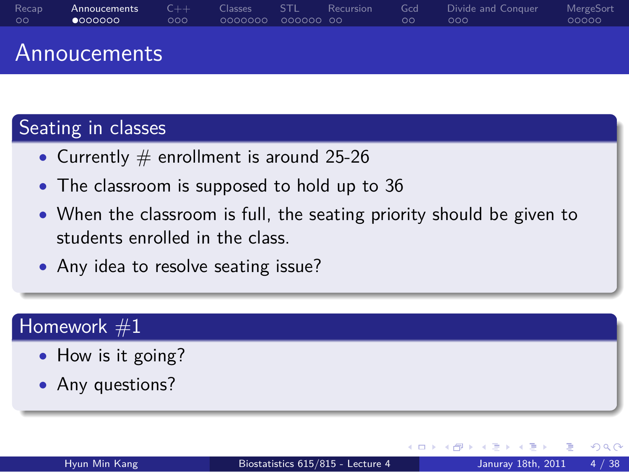### Annoucements

# Seating in classes

- Currently # enrollment is around 25-26
- *•* The classroom is supposed to hold up to 36
- *•* When the classroom is full, the seating priority should be given to students enrolled in the class.

.. .

.. .

*•* Any idea to resolve seating issue?

# $\sqrt{\frac{1}{2}}$  Homework  $\#1$

- *•* How is it going?
- *•* Any questions?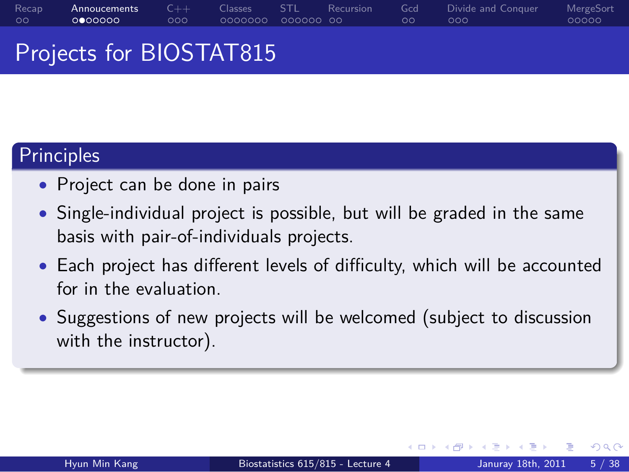### Recap<br>00 Annoucements<br>0000000 C++<br>000 Classes STL Recursion<br>0000000 000000 00 Gcd<br>00 Projects for BIOSTAT815

# Principles

- *•* Project can be done in pairs
- *•* Single-individual project is possible, but will be graded in the same basis with pair-of-individuals projects.
- *•* Each project has different levels of difficulty, which will be accounted for in the evaluation.
- *•* Suggestions of new projects will be welcomed (subject to discussion with the instructor).

.. .

Divide and Conquer<br>000

MergeSort<br>00000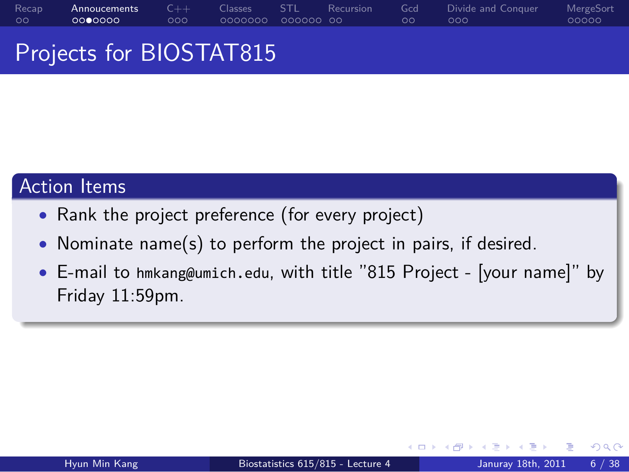Projects for BIOSTAT815

## Action Items

- *•* Rank the project preference (for every project)
- *•* Nominate name(s) to perform the project in pairs, if desired.
- *•* E-mail to hmkang@umich.edu, with title "815 Project [your name]" by Friday 11:59pm.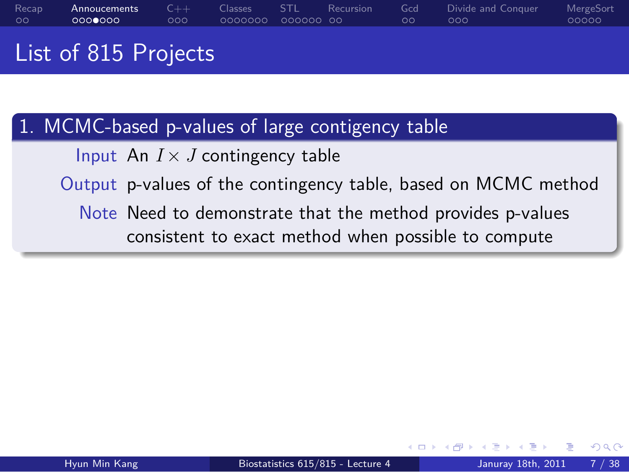List of 815 Projects

# . 1. MCMC-based p-values of large contigency table ..

Input An *I × J* contingency table

Output p-values of the contingency table, based on MCMC method

.. . Note Need to demonstrate that the method provides p-values consistent to exact method when possible to compute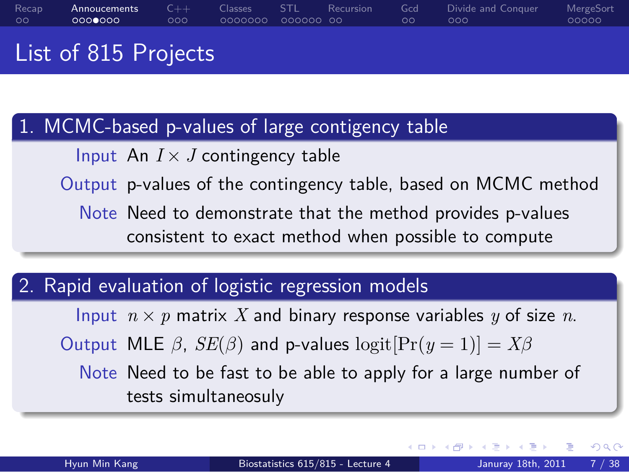List of 815 Projects

# . 1. MCMC-based p-values of large contigency table ..

Input An *I × J* contingency table

Output p-values of the contingency table, based on MCMC method

.. . Note Need to demonstrate that the method provides p-values consistent to exact method when possible to compute

# . 2. Rapid evaluation of logistic regression models ..

Input  $n \times p$  matrix *X* and binary response variables *y* of size *n*.

Output MLE  $\beta$ ,  $SE(\beta)$  and p-values logit $[Pr(y = 1)] = X\beta$ 

.. . Note Need to be fast to be able to apply for a large number of tests simultaneosuly

. □ ▶ : 4 @ ▶ : 4 m ▶ : 4 m → . 1 m → 0 m <mark>→</mark>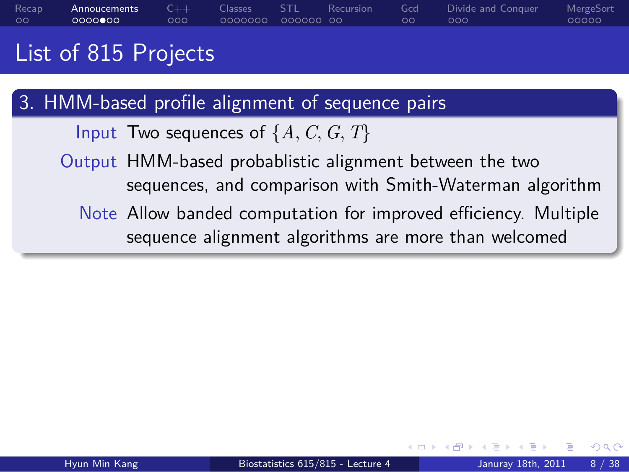## List of 815 Projects

# . 3. HMM-based profile alignment of sequence pairs ..

Input Two sequences of *{A, C, G, T}*

- Output HMM-based probablistic alignment between the two sequences, and comparison with Smith-Waterman algorithm
- .. . Note Allow banded computation for improved efficiency. Multiple sequence alignment algorithms are more than welcomed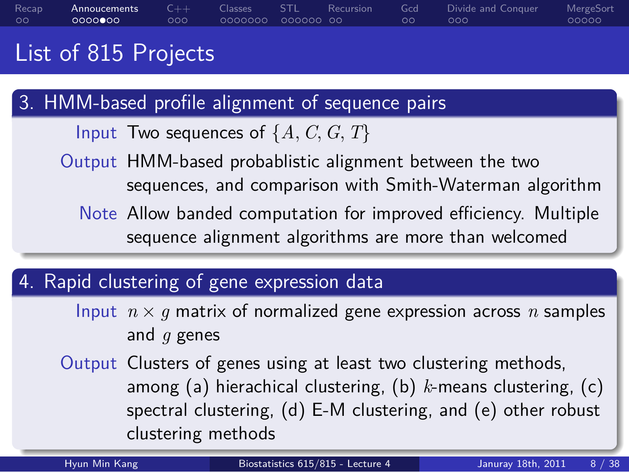### Recap<br>00 Annoucements<br>0000**0**00 C++<br>000 Classes STL Recursion<br>0000000 000000 00 Gcd<br>00  $\overline{\text{occ}}$ Divide and Conquer MergeSort<br>00000

### List of 815 Projects

# . 3. HMM-based profile alignment of sequence pairs ..

- Input Two sequences of  $\{A, C, G, T\}$
- Output HMM-based probablistic alignment between the two sequences, and comparison with Smith-Waterman algorithm
- .. . Note Allow banded computation for improved efficiency. Multiple sequence alignment algorithms are more than welcomed

# . 4. Rapid clustering of gene expression data ..

- Input  $n \times g$  matrix of normalized gene expression across *n* samples and *g* genes
- Output Clusters of genes using at least two clustering methods, among (a) hierachical clustering, (b) *k*-means clustering, (c) spectral clustering, (d) E-M clustering, and (e) other robust clustering methods

. . . . . .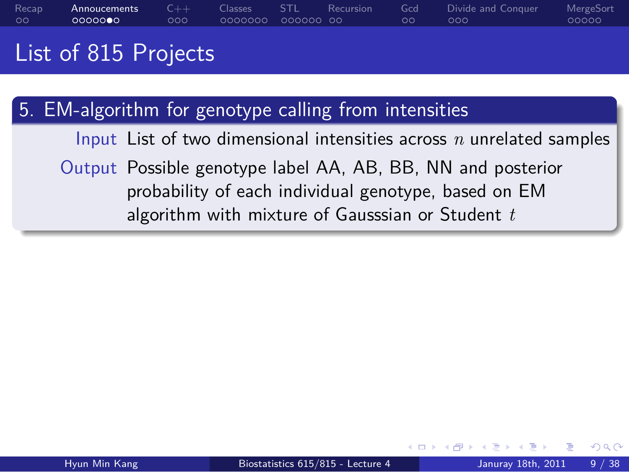## List of 815 Projects

# . 5. EM-algorithm for genotype calling from intensities ..

Input List of two dimensional intensities across *n* unrelated samples

.. . Output Possible genotype label AA, AB, BB, NN and posterior probability of each individual genotype, based on EM algorithm with mixture of Gausssian or Student *t*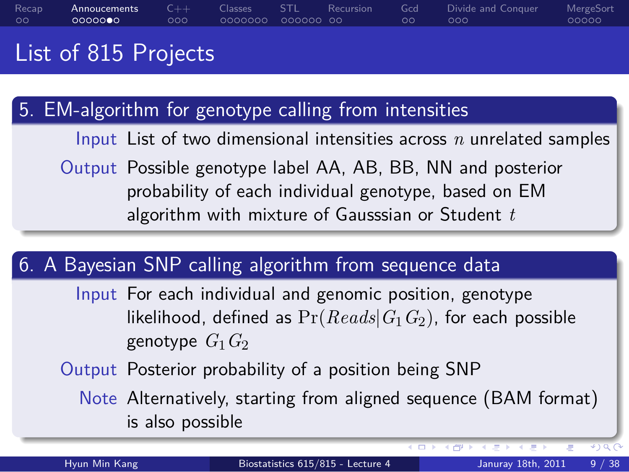### Recap<br>00 Annoucements C++ Classes STL Recursion<br>0000000 000 0000000 000000 00 Gcd<br>00 Divide and Conquer<br>000 MergeSort<br>00000

## List of 815 Projects

| 5. EM-algorithm for genotype calling from intensities                               |                      |                                                          |  |                                                                                                                                                 |  |  |
|-------------------------------------------------------------------------------------|----------------------|----------------------------------------------------------|--|-------------------------------------------------------------------------------------------------------------------------------------------------|--|--|
|                                                                                     |                      |                                                          |  | Input List of two dimensional intensities across $n$ unrelated samples                                                                          |  |  |
|                                                                                     |                      | algorithm with mixture of Gausssian or Student $t$       |  | Output Possible genotype label AA, AB, BB, NN and posterior<br>probability of each individual genotype, based on EM                             |  |  |
|                                                                                     |                      |                                                          |  |                                                                                                                                                 |  |  |
| 6. A Bayesian SNP calling algorithm from sequence data                              |                      |                                                          |  |                                                                                                                                                 |  |  |
|                                                                                     | genotype $G_1$ $G_2$ | Input For each individual and genomic position, genotype |  | likelihood, defined as $Pr(Reads G_1G_2)$ , for each possible                                                                                   |  |  |
| Output Posterior probability of a position being SNP                                |                      |                                                          |  |                                                                                                                                                 |  |  |
| Note Alternatively, starting from aligned sequence (BAM format)<br>is also possible |                      |                                                          |  |                                                                                                                                                 |  |  |
|                                                                                     |                      |                                                          |  | $\leftarrow$ $\equiv$ $\rightarrow$ $\rightarrow$ $\leftarrow$ $\rightarrow$ $\rightarrow$ $\rightarrow$ $\rightarrow$<br>$\sqrt{2}$<br>÷<br>三下 |  |  |
| Hyun Min Kang                                                                       |                      | Biostatistics 615/815 - Lecture 4                        |  | Januray 18th, 2011<br>9/38                                                                                                                      |  |  |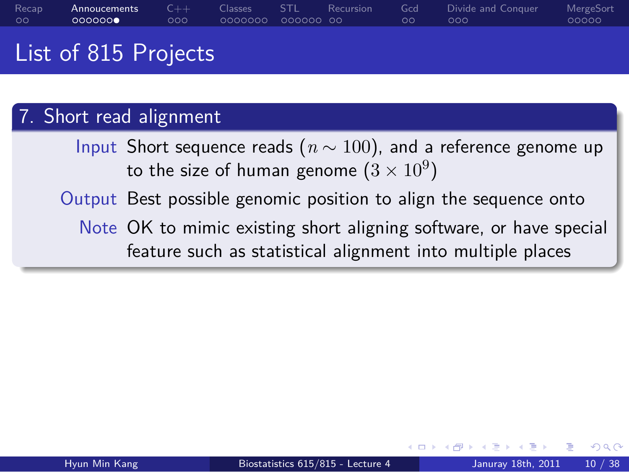## List of 815 Projects

# 7. Short read alignment

Input Short sequence reads (*n ∼* 100), and a reference genome up to the size of human genome  $(3\times 10^9)$ 

Output Best possible genomic position to align the sequence onto

.. . Note OK to mimic existing short aligning software, or have special feature such as statistical alignment into multiple places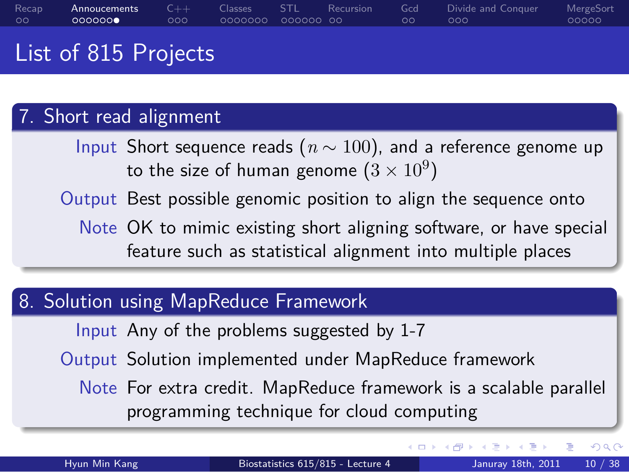### List of 815 Projects

# 7. Short read alignment

Input Short sequence reads (*n ∼* 100), and a reference genome up to the size of human genome  $(3\times 10^9)$ 

Output Best possible genomic position to align the sequence onto

.. . Note OK to mimic existing short aligning software, or have special feature such as statistical alignment into multiple places

# . 8. Solution using MapReduce Framework ..

Input Any of the problems suggested by 1-7

Output Solution implemented under MapReduce framework

.. . Note For extra credit. MapReduce framework is a scalable parallel programming technique for cloud computing

. . . . . .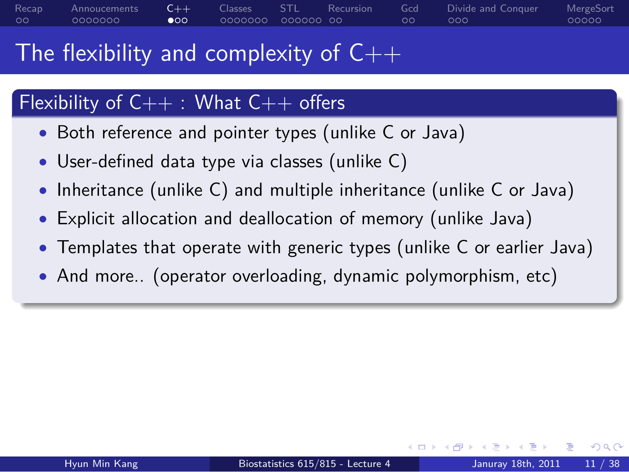## The flexibility and complexity of  $C++$

# Flexibility of  $C++$  : What  $C++$  offers

- *•* Both reference and pointer types (unlike C or Java)
- *•* User-defined data type via classes (unlike C)
- *•* Inheritance (unlike C) and multiple inheritance (unlike C or Java)
- *•* Explicit allocation and deallocation of memory (unlike Java)
- *•* Templates that operate with generic types (unlike C or earlier Java)

.. .

*•* And more.. (operator overloading, dynamic polymorphism, etc)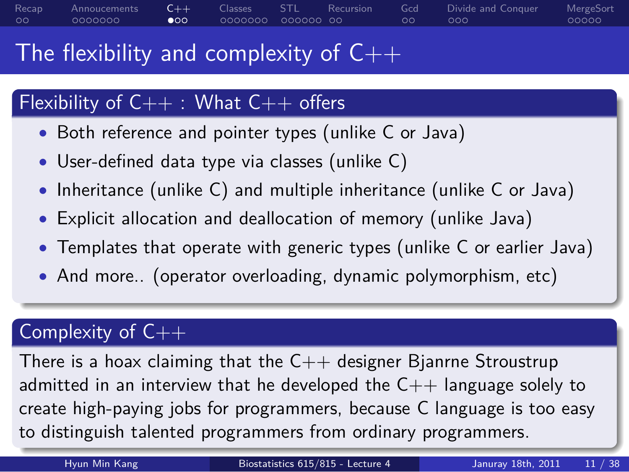### The flexibility and complexity of  $C++$

# Flexibility of  $C++$  : What  $C++$  offers

- *•* Both reference and pointer types (unlike C or Java)
- *•* User-defined data type via classes (unlike C)
- *•* Inheritance (unlike C) and multiple inheritance (unlike C or Java)
- *•* Explicit allocation and deallocation of memory (unlike Java)
- *•* Templates that operate with generic types (unlike C or earlier Java)

.. .

*•* And more.. (operator overloading, dynamic polymorphism, etc)

# Complexity of C++

to distinguish talented programmers from ordinary programmers. There is a hoax claiming that the  $C++$  designer Bjanrne Stroustrup admitted in an interview that he developed the  $C++$  language solely to create high-paying jobs for programmers, because C language is too easy to distinguish talented programmers from ordinary programmers.

. . . . . .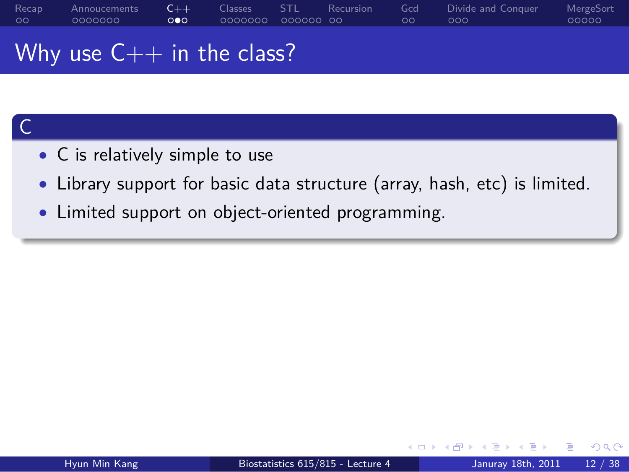Why use  $C++$  in the class?

## . C .. *•* C is relatively simple to use

*•* Library support for basic data structure (array, hash, etc) is limited.

.. .

*•* Limited support on object-oriented programming.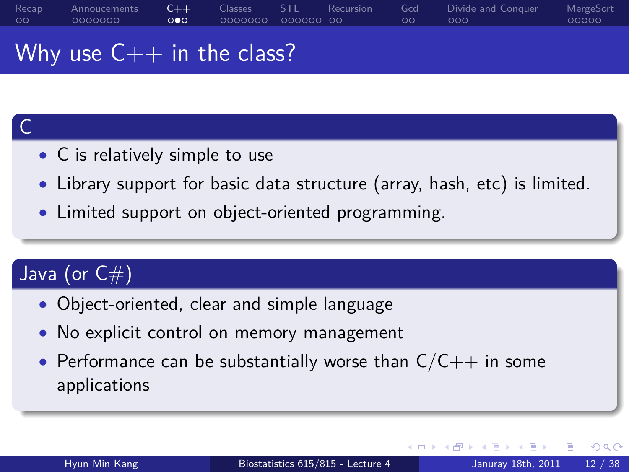Why use  $C++$  in the class?

- *•* C is relatively simple to use
- *•* Library support for basic data structure (array, hash, etc) is limited.

.. .

*•* Limited support on object-oriented programming.

### .  $\int$  Java (or  $C#$ )

. C ..

- *•* Object-oriented, clear and simple language
- *•* No explicit control on memory management
- *•* Performance can be substantially worse than C/C++ in some applications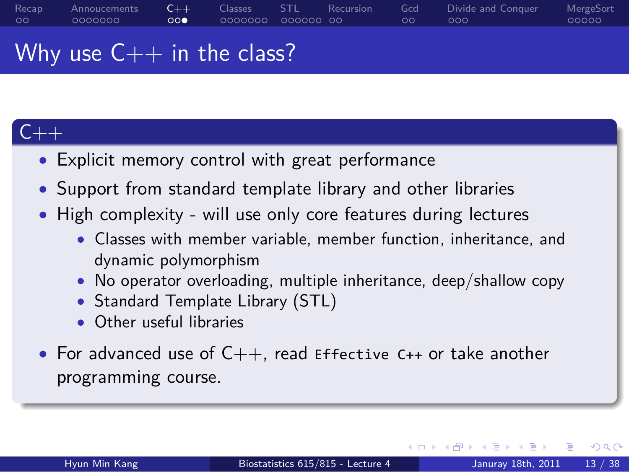### Why use  $C++$  in the class?

## $C++$

- *•* Explicit memory control with great performance
- *•* Support from standard template library and other libraries
- *•* High complexity will use only core features during lectures
	- *•* Classes with member variable, member function, inheritance, and dynamic polymorphism
	- *•* No operator overloading, multiple inheritance, deep/shallow copy
	- *•* Standard Template Library (STL)
	- *•* Other useful libraries
- *•* For advanced use of C++, read Effective C++ or take another programming course.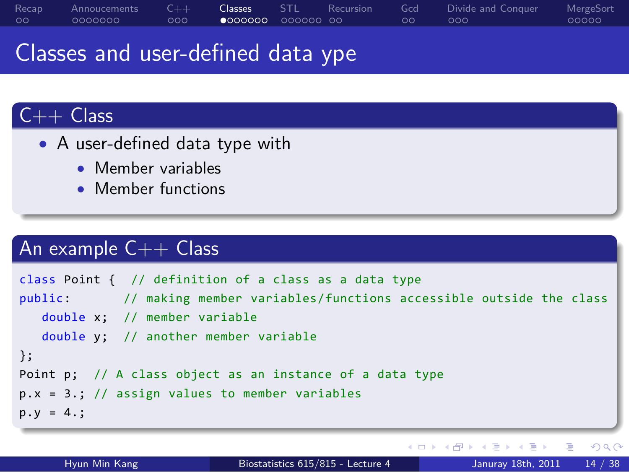## Classes and user-defined data ype

## $C++$  Class

- *•* A user-defined data type with
	- *•* Member variables
	- *•* Member functions

# An example C++ Class

```
. . . . . .
.
p.y = 4.;
.. .
class Point { // definition of a class as a data type
public: // making member variables/functions accessible outside the class
   double x; // member variable
  double y; // another member variable
};
Point p; // A class object as an instance of a data type
p.x = 3.; // assign values to member variables
```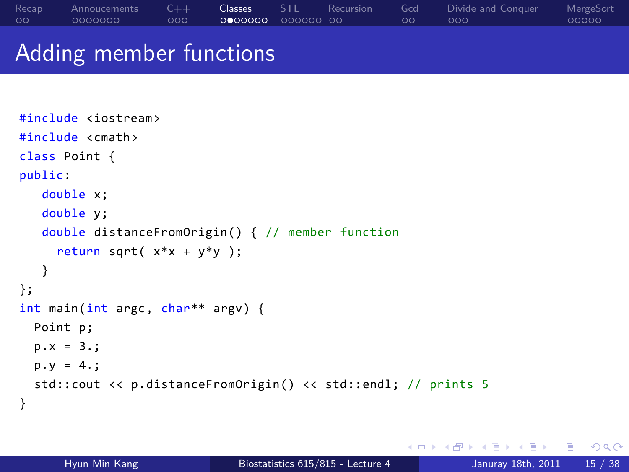Adding member functions

```
#include <iostream>
#include <cmath>
class Point {
public:
  double x;
  double y;
  double distanceFromOrigin() { // member function
    return sqrt( x*x + y*y );
   }
};
int main(int argc, char** argv) {
  Point p;
  p.x = 3.;
  p.y = 4.;
  std::cout << p.distanceFromOrigin() << std::endl; // prints 5
}
```
. . . . . . Hyun Min Kang Biostatistics 615/815 - Lecture 4 Januray 18th, 2011 15 / 38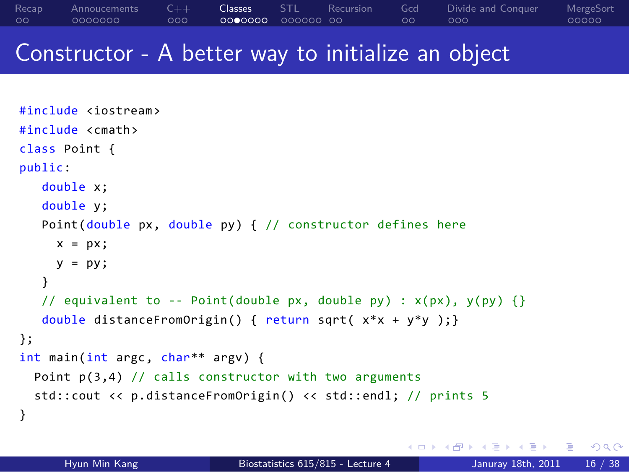### Constructor - A better way to initialize an object

```
. . . . . .
#include <iostream>
#include <cmath>
class Point {
public:
  double x;
  double y;
  Point(double px, double py) { // constructor defines here
    x = px;y = py;}
   // equivalent to -- Point(double px, double py) : x(px), y(py) {}
  double distanceFromOrigin() { return sqrt( x*x + y*y );}
};
int main(int argc, char** argv) {
  Point p(3,4) // calls constructor with two arguments
  std::cout << p.distanceFromOrigin() << std::endl; // prints 5
}
      Hyun Min Kang Biostatistics 615/815 - Lecture 4 Januray 18th, 2011 16 / 38
```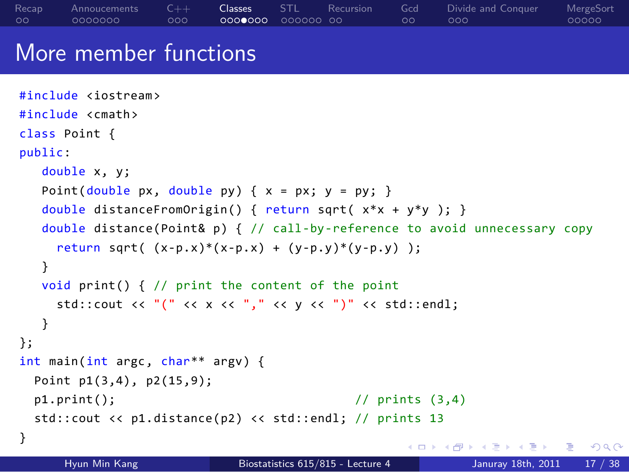```
\mathbf{1}_{\{1,2\}} \times \mathbf{1}_{\{2\}} \times \mathbf{1}_{\{2\}} \times \mathbf{1}_{\{2\}} \times \mathbf{1}_{\{2\}} \times \mathbf{1}_{\{2\}} \times \mathbf{1}_{\{2\}} \times \mathbf{1}_{\{2\}} \times \mathbf{1}_{\{2\}} \times \mathbf{1}_{\{2\}} \times \mathbf{1}_{\{2\}} \times \mathbf{1}_{\{2\}} \times \mathbf{1}_{\{2\}} \times \mathbf{1}_{\{2\}} \times \mathbf{1}_{\{2\}} \times \mathbf{1}_{\{2\}} \times \mathbf{1}_{\{2\More member functions
 #include <iostream>
#include <cmath>
class Point {
 public:
     double x, y;
     Point(double px, double py) { x = px; y = py; }
     double distanceFromOrigin() { return sqrt( x*x + y*y ); }
     double distance(Point& p) { // call-by-reference to avoid unnecessary copy
       return sqrt( (x-p.x)*(x-p.x) + (y-p.y)*(y-p.y) );
     }
     void print() { // print the content of the point
        std::cout << "(" << x << "," << y << ")" << std::endl;
     }
};
int main(int argc, char** argv) {
   Point p1(3,4), p2(15,9);
   p1.print(); // prints (3,4)
   std::cout << p1.distance(p2) << std::endl; // prints 13
}
         Hyun Min Kang Biostatistics 615/815 - Lecture 4 Januray 18th, 2011 17 / 38
```
Classes STL Recursion<br>0000000 000000 00

Gcd<br>00

 $.000$ 

Divide and Conquer

MergeSort<br>00000

Recap<br>00

Annoucements<br>0000000

C++<br>000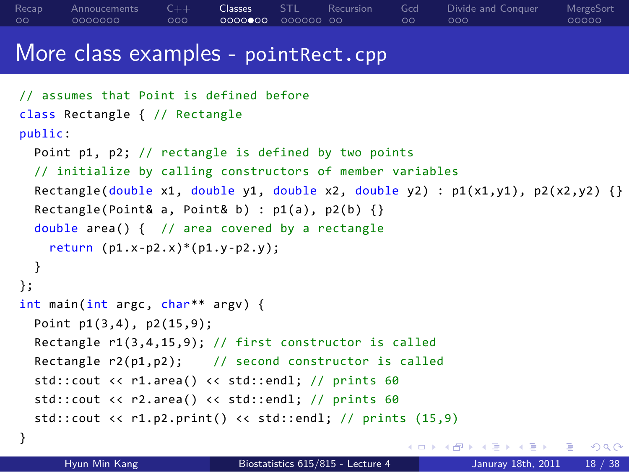### More class examples - pointRect.cpp

```
. □ ▶ . 4 @ ▶ . 2 ▶ . 2 ▶ . 2 │ ⊙ 9 Q <mark>0</mark>
// assumes that Point is defined before
class Rectangle { // Rectangle
public:
  Point p1, p2; // rectangle is defined by two points
  // initialize by calling constructors of member variables
  Rectangle(double x1, double y1, double x2, double y2) : p1(x1,y1), p2(x2,y2) {}
  Rectangle(Point& a, Point& b) : p1(a), p2(b) {}
  double area() { // area covered by a rectangle
    return (p1.x-p2.x)*(p1.y-p2.y);
  }
};
int main(int argc, char** argv) {
  Point p1(3,4), p2(15,9);
  Rectangle r1(3,4,15,9); // first constructor is called
  Rectangle r2(p1,p2); // second constructor is called
  std::cout << r1.area() << std::endl; // prints 60
  std::cout << r2.area() << std::endl; // prints 60
  std::cout << r1.p2.print() << std::endl; // prints (15,9)
}
```
Hyun Min Kang Biostatistics 615/815 - Lecture 4 Januray 18th, 2011 18 / 38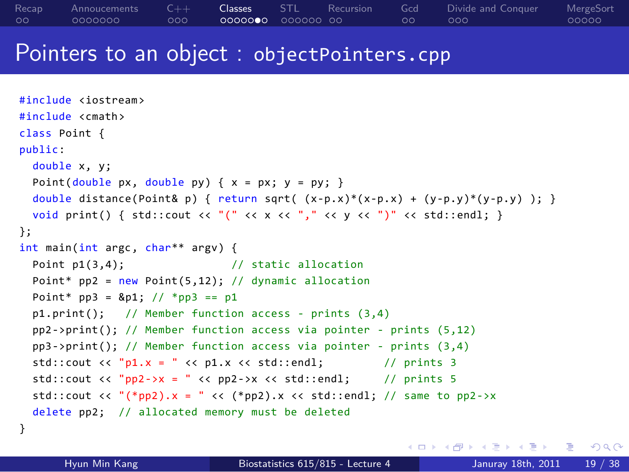### Pointers to an object : objectPointers.cpp

```
. . . . . .
#include <iostream>
#include <cmath>
class Point {
public:
 double x, y;
 Point(double px, double py) { x = px; y = py; }
  double distance(Point& p) { return sqrt( (x-p.x)*(x-p.x) + (y-p.y)*(y-p.y) ); }
  void print() { std::cout << "(" << x << "," << y << ")" << std::endl; }
};
int main(int argc, char** argv) {
  Point p1(3,4); // static allocation
 Point* pp2 = new Point(5,12); // dynamic allocation
  Point* pp3 = 8p1; // *pp3 == p1p1.print(); // Member function access - prints (3,4)
 pp2->print(); // Member function access via pointer - prints (5,12)
  pp3->print(); // Member function access via pointer - prints (3,4)
  std::cout << "p1.x = " << p1.x << std::endl; // prints 3
  std::cout << "pp2->x = " << pp2->x << std::endl; // prints 5
 std::cout << "(*pp2).x = " << (*pp2).x << std::endl; // same to pp2->x
  delete pp2; // allocated memory must be deleted
}
      Hyun Min Kang Biostatistics 615/815 - Lecture 4 Januray 18th, 2011 19 / 38
```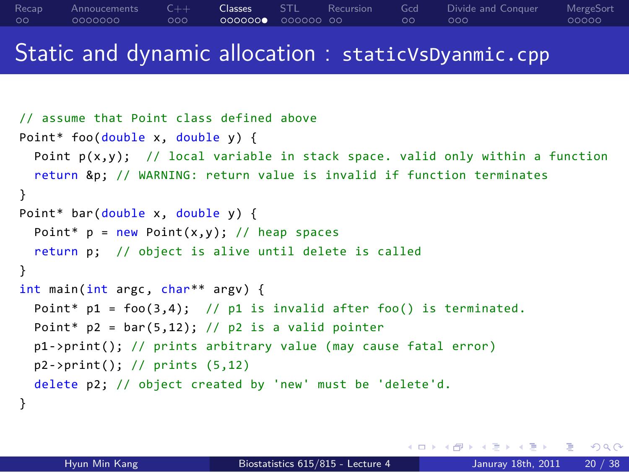### Static and dynamic allocation : staticVsDyanmic.cpp

```
// assume that Point class defined above
Point* foo(double x, double y) {
  Point p(x,y); // local variable in stack space. valid only within a function
  return &p; // WARNING: return value is invalid if function terminates
}
Point* bar(double x, double y) {
  Point* p = new Point(x,y); // heap spaces
  return p; // object is alive until delete is called
}
int main(int argc, char** argv) {
  Point* p1 = foo(3,4); // p1 is invalid after foo() is terminated.
  Point* p2 = bar(5,12); // p2 is a valid pointer
  p1->print(); // prints arbitrary value (may cause fatal error)
  p2->print(); // prints (5,12)
  delete p2; // object created by 'new' must be 'delete'd.
}
```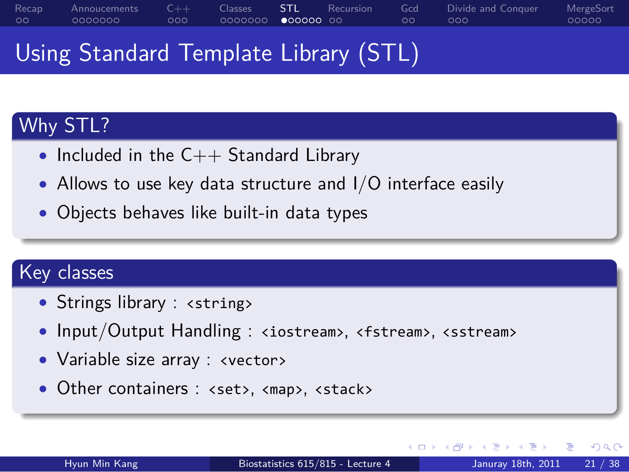### Recap<br>00 Annoucements<br>0000000 C++<br>000 . . . . . . . Classes . . . . . . STL . . Recursion Gcd<br>00 Divide and Conquer<br>000 MergeSort<br>00000

## Using Standard Template Library (STL)

# Why STL?

- *•* Included in the C++ Standard Library
- *•* Allows to use key data structure and I/O interface easily

.. .

.. .

*•* Objects behaves like built-in data types

# Key classes

- Strings library : <string>
- Input/Output Handling : <iostream>, <fstream>, <sstream>
- *•* Variable size array : <vector>
- Other containers : <set>, <map>, <stack>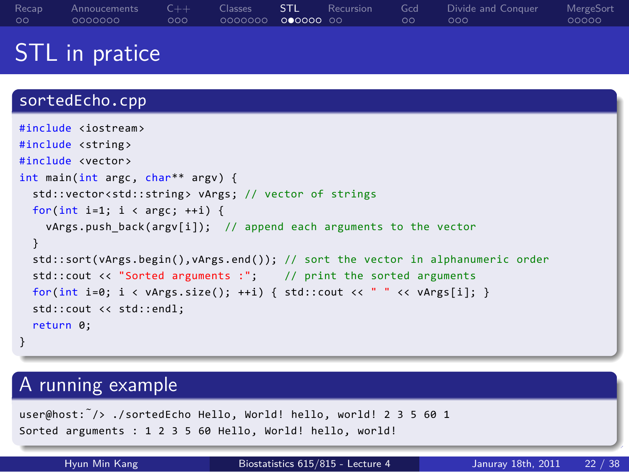## STL in pratice



Hyun Min Kang Biostatistics 615/815 - Lecture 4 Januray 18th, 2011 22 / 38

. . . . . .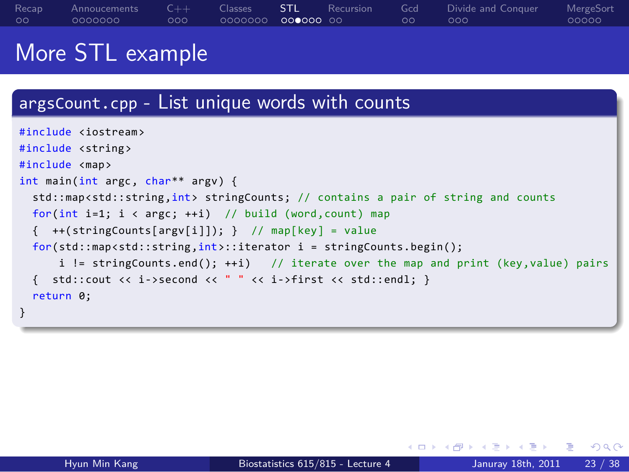### More STL example

### argsCount.cpp - List unique words with counts . } .. . #include <iostream> #include <string> #include <map> int main(int argc, char\*\* argv) { std::map<std::string,int> stringCounts; // contains a pair of string and counts for(int i=1; i < argc; ++i) // build (word, count) map {  $++(stringCounts[ary[i]]);$  } // map[key] = value for(std::map<std::string,int>::iterator i = stringCounts.begin(); i != stringCounts.end(); ++i) // iterate over the map and print (key,value) pairs { std::cout << i->second << " " << i->first << std::endl; } return 0;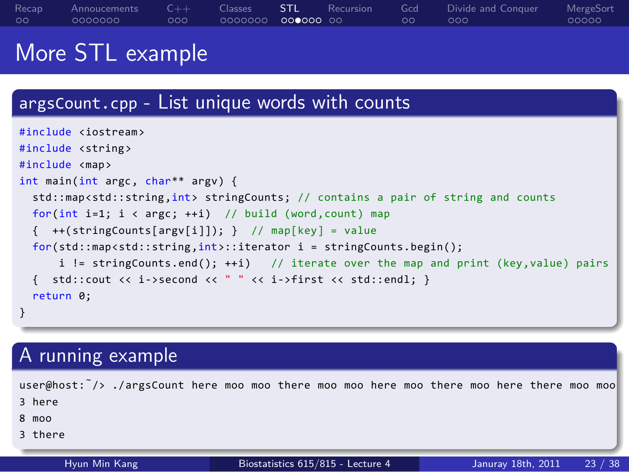### Recap<br>00 . . . . . . . Annoucements . . . C++ Classes STL Recursion<br>0000000 000000 00 Gcd<br>00 Divide and Conquer<br>000 MergeSort<br>00000

## More STL example

| argsCount.cpp - List unique words with counts                                                                                                                                                                                                                                                                                                                                                                                                                                                                                                                                                                                                                                                                                                        |                                   |                               |  |  |  |  |  |
|------------------------------------------------------------------------------------------------------------------------------------------------------------------------------------------------------------------------------------------------------------------------------------------------------------------------------------------------------------------------------------------------------------------------------------------------------------------------------------------------------------------------------------------------------------------------------------------------------------------------------------------------------------------------------------------------------------------------------------------------------|-----------------------------------|-------------------------------|--|--|--|--|--|
| #include <iostream><br/>#include <string><br/>#include <map><br/>int main(int argc, char** argv) {<br/>std::map<std::string,int> stringCounts; // contains a pair of string and counts<br/>for(int i=1; <math>i &lt; argc</math>; ++i) // build (word, count) map<br/><math>\{ ++(stringCounts[ary[i]]); \}</math> // map[key] = value<br/><math>for (std::map &lt; std::string, int):</math>: iterator <math>i = stringCounts.\nbegin{bmatrix} i &amp; 0 \\ 0 &amp; i \end{bmatrix}</math><br/>i != stringCounts.end(); ++i) // iterate over the map and print (key, value) pairs<br/>std::cout &lt;&lt; i-&gt;second &lt;&lt; " " &lt;&lt; i-&gt;first &lt;&lt; std::endl; }<br/>€<br/>return 0;<br/>}</std::string,int></map></string></iostream> |                                   |                               |  |  |  |  |  |
| A running example                                                                                                                                                                                                                                                                                                                                                                                                                                                                                                                                                                                                                                                                                                                                    |                                   |                               |  |  |  |  |  |
| user@host: /> ./argsCount here moo moo there moo moo here moo there moo here there moo moo<br>3 here<br>$8 \mod 8$<br>3 there                                                                                                                                                                                                                                                                                                                                                                                                                                                                                                                                                                                                                        |                                   |                               |  |  |  |  |  |
| Hyun Min Kang                                                                                                                                                                                                                                                                                                                                                                                                                                                                                                                                                                                                                                                                                                                                        | Biostatistics 615/815 - Lecture 4 | 23 / 38<br>Januray 18th, 2011 |  |  |  |  |  |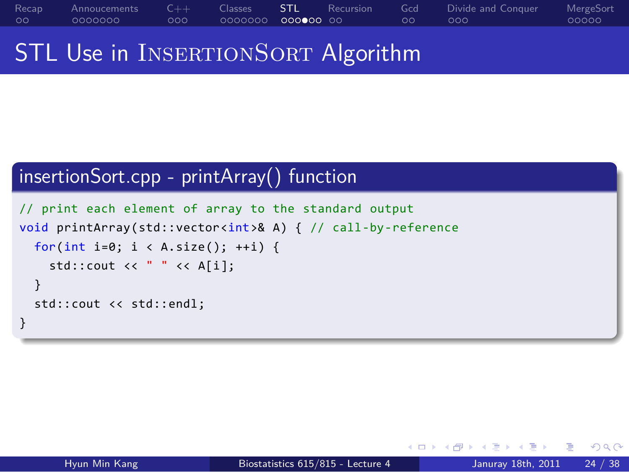STL Use in INSERTIONSORT Algorithm

### . insertionSort.cpp - printArray() function ..

```
.
}
.. .
// print each element of array to the standard output
void printArray(std::vector<int>& A) { // call-by-reference
 for(int i=0; i < A.size(); ++i) {
   std::cout << " " << A[i];
 }
 std::cout << std::endl;
```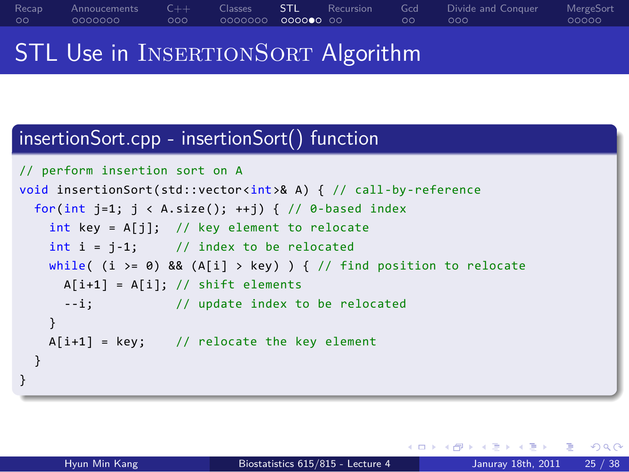### STL Use in INSERTIONSORT Algorithm

### . insertionSort.cpp - insertionSort() function ..

```
.
}
.. .
// perform insertion sort on A
void insertionSort(std::vector<int>& A) { // call-by-reference
 for(int j=1; j \lt A.size(); ++j) { // 0-based index
   int key = A[j]; // key element to relocate
   int i = j-1; // index to be relocated
   while( (i >= 0) && (A[i] > key) ) { // find position to relocate
    A[i+1] = A[i]; // shift elements
     --i; // update index to be relocated
   }
   A[i+1] = key; // relocate the key element
 }
```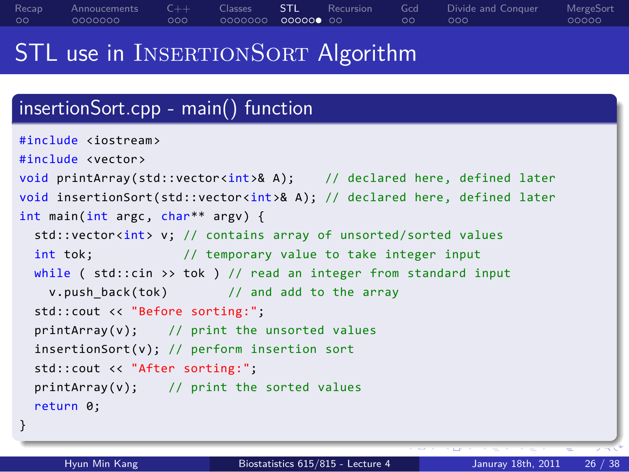### . . . . . . . insertionSort.cpp - main() function .. . } .. . #include <iostream> #include <vector> void printArray(std::vector<int>& A); // declared here, defined later void insertionSort(std::vector<int>& A); // declared here, defined later int main(int argc, char\*\* argv) { std::vector<int> v; // contains array of unsorted/sorted values int tok;  $\frac{1}{2}$  // temporary value to take integer input while ( std::cin >> tok ) // read an integer from standard input v.push\_back(tok) // and add to the array std::cout << "Before sorting:"; printArray(v); // print the unsorted values insertionSort(v); // perform insertion sort std::cout << "After sorting:"; printArray(v); // print the sorted values return 0; Hyun Min Kang Biostatistics 615/815 - Lecture 4 Januray 18th, 2011

Classes STL Recursion<br>0000000 000000 00

Gcd<br>00

Divide and Conquer<br>000

MergeSort<br>00000

Recap<br>00

Annoucements<br>0000000

C++<br>000

STL use in INSERTIONSORT Algorithm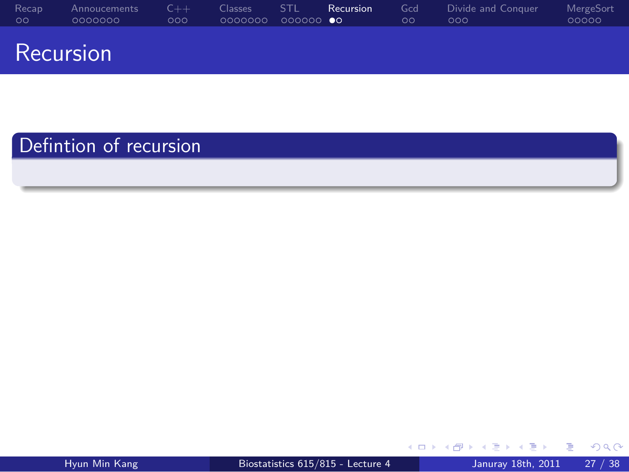. . Recap . . . . . . . Annoucements C++<br>000 Classes STL **Recursion**<br>0000000 000000 **00** Gcd<br>00 Divide and Conquer<br>000 MergeSort<br>00000 Recursion

.. .

Defintion of recursion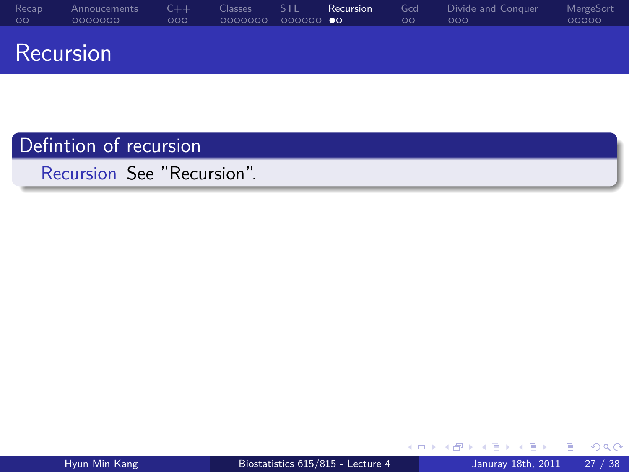### Recap<br>00 Annoucements<br>0000000 C++<br>000 Classes STL **Recursion**<br>0000000 000000 **00** Gcd<br>00 Divid<br>000 MergeSort<br>00000 Recursion

## Defintion of recursion

.. . Recursion See "Recursion".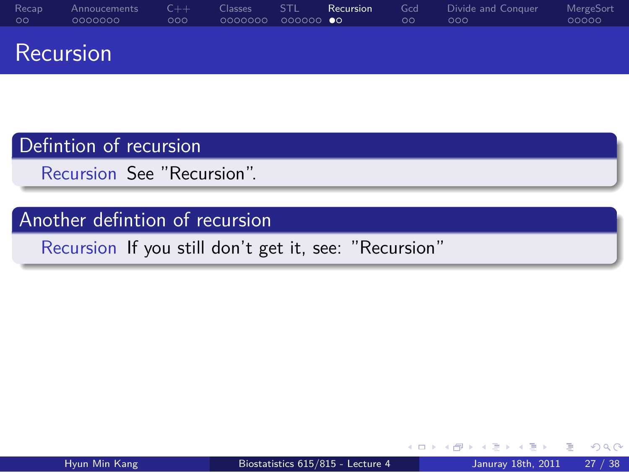Defintion of recursion

.. . Recursion See "Recursion".

Another defintion of recursion

.. . Recursion If you still don't get it, see: "Recursion"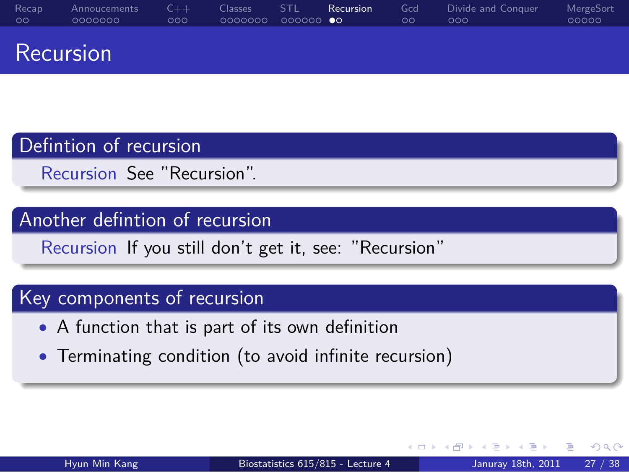## Defintion of recursion

.. . Recursion See "Recursion".

## Another defintion of recursion

.. . Recursion If you still don't get it, see: "Recursion"

# Key components of recursion

- *•* A function that is part of its own definition
- *•* Terminating condition (to avoid infinite recursion)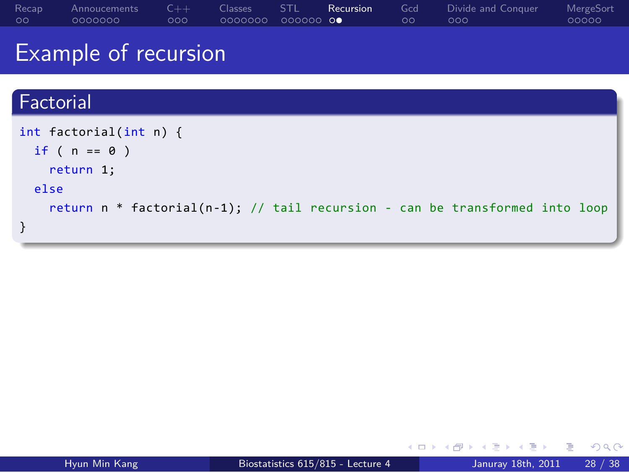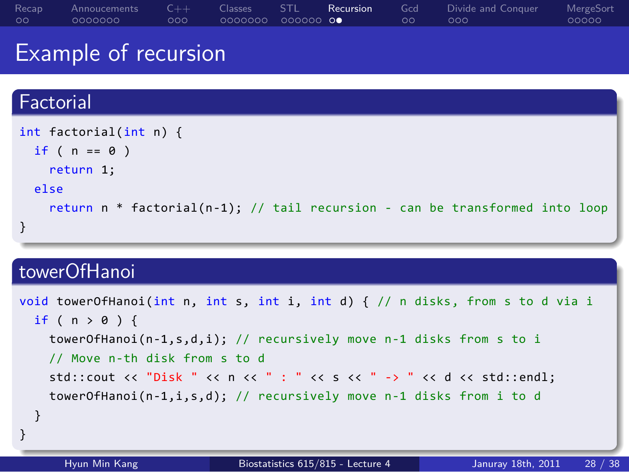## Example of recursion . Factorial .. int factorial(int n) { if (  $n == 0$  )

Gcd<br>00

 $.000$ 

Divide and Conquer

MergeSort<br>00000

Classes STL **Recursion**<br>0000000 000000 **00** 

. } .. . return 1; else return n \* factorial(n-1); // tail recursion - can be transformed into loop . towerOfHanoi ..

Recap<br>00

Annoucements<br>0000000

C++<br>000

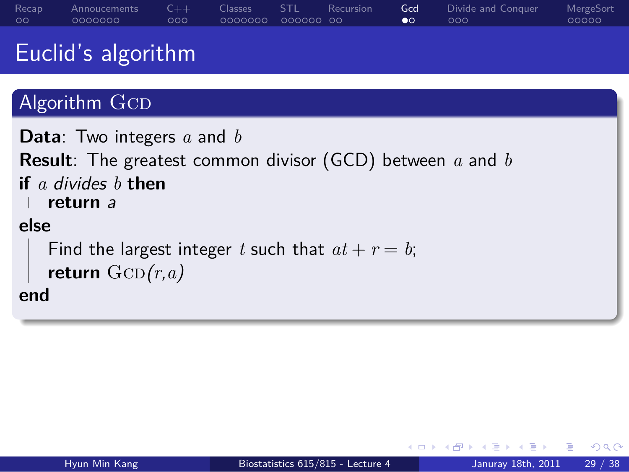## Euclid's algorithm

# Algorithm GCD

```
.
end
.. .
Data: Two integers a and b
Result: The greatest common divisor (GCD) between a and b
if a divides b then
return a
else
  Find the largest integer t such that at + r = b;
  return GCD(r, a)
```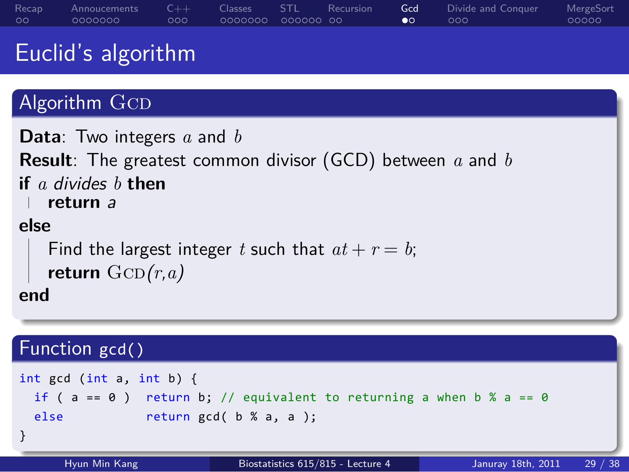## Euclid's algorithm

# Algorithm GCD

```
.
end
.. .
Data: Two integers a and b
Result: The greatest common divisor (GCD) between a and b
if a divides b then
return a
else
  Find the largest integer t such that at + r = b;
  return GCD(r, a)
```
## Function gcd()

```
.
}
1991 - 1992 - 1993 - 1994 - 1994 - 1994 - 1994 - 1994 - 1994 - 1994 - 1994 - 1994 - 1994 - 1994 - 1994 - 1994<br>1994 - 1994 - 1994 - 1994 - 1994 - 1994 - 1994 - 1994 - 1994 - 1994 - 1994 - 1994 - 1994 - 1994 - 1994 - 1994<br>19
int gcd (int a, int b) {
   if ( a == 0 ) return b; // equivalent to returning a when b % a == 0else return gcd( b % a, a );
```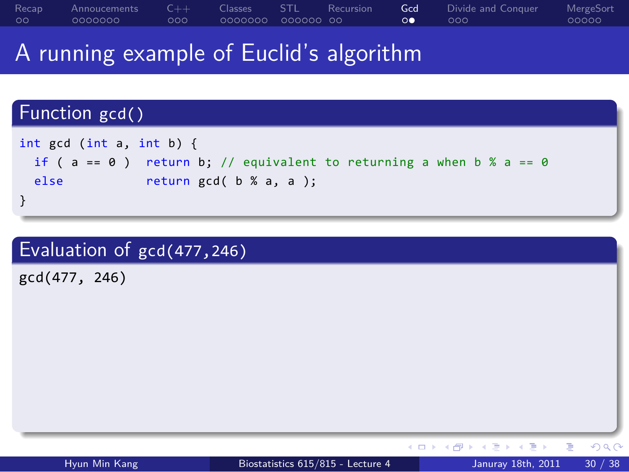## A running example of Euclid's algorithm

## $($   $\Box$   $>$   $\land$   $\Theta$   $>$   $\land$   $\Xi$   $>$   $\land$   $\Xi$   $>$   $\land$   $\Box$   $\land$   $\Theta$ Function gcd() . } .. . int gcd (int a, int b) { if (  $a == 0$  ) return b; // equivalent to returning a when b %  $a == 0$ else return gcd( b % a, a ); Evaluation of gcd(477,246) .. . gcd(477, 246) Hyun Min Kang Biostatistics 615/815 - Lecture 4 Januray 18th, 2011 30 / 38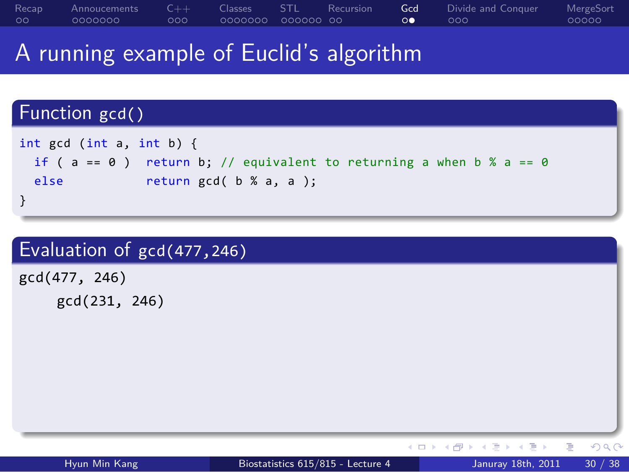## A running example of Euclid's algorithm

```
( \Box > \land \Theta > \land \Xi > \land \Xi > \land \Box \land \ThetaFunction gcd()
.
}
.. .
int gcd (int a, int b) {
 if ( a == 0 ) return b; // equivalent to returning a when b % a == 0else return gcd( b % a, a );
Evaluation of gcd(477,246)
.. .
gcd(477, 246)
    gcd(231, 246)
    Hyun Min Kang Biostatistics 615/815 - Lecture 4 Januray 18th, 2011 30 / 38
```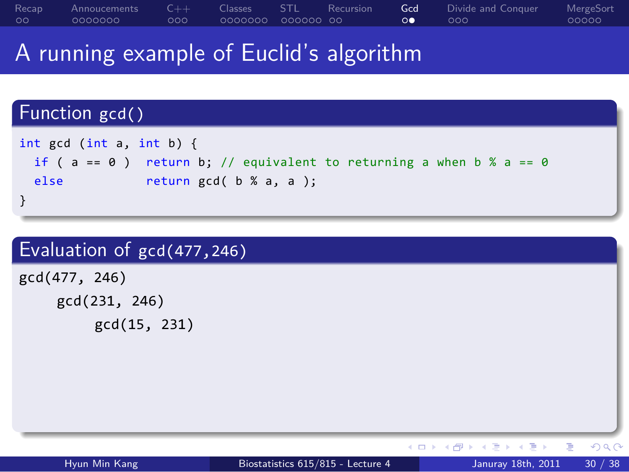## A running example of Euclid's algorithm

## Function gcd()

```
.
}
int gcd (int a, int b) {
 if ( a == 0 ) return b; // equivalent to returning a when b % a == 0else return gcd( b % a, a );
```

| Hyun Min Kang              | Biostatistics 615/815 - Lecture 4 | 30 / 38<br>Januray 18th, 2011       |  |  |  |  |  |  |
|----------------------------|-----------------------------------|-------------------------------------|--|--|--|--|--|--|
|                            |                                   | K ロ ▶ K @ ▶ K 로 ▶ K 로 ▶ 『 콘 / ⊙ Q C |  |  |  |  |  |  |
|                            |                                   |                                     |  |  |  |  |  |  |
|                            |                                   |                                     |  |  |  |  |  |  |
|                            |                                   |                                     |  |  |  |  |  |  |
|                            |                                   |                                     |  |  |  |  |  |  |
|                            |                                   |                                     |  |  |  |  |  |  |
|                            |                                   |                                     |  |  |  |  |  |  |
| gcd(15, 231)               |                                   |                                     |  |  |  |  |  |  |
| gcd(231, 246)              |                                   |                                     |  |  |  |  |  |  |
| gcd(477, 246)              |                                   |                                     |  |  |  |  |  |  |
|                            |                                   |                                     |  |  |  |  |  |  |
| Evaluation of gcd(477,246) |                                   |                                     |  |  |  |  |  |  |
|                            |                                   |                                     |  |  |  |  |  |  |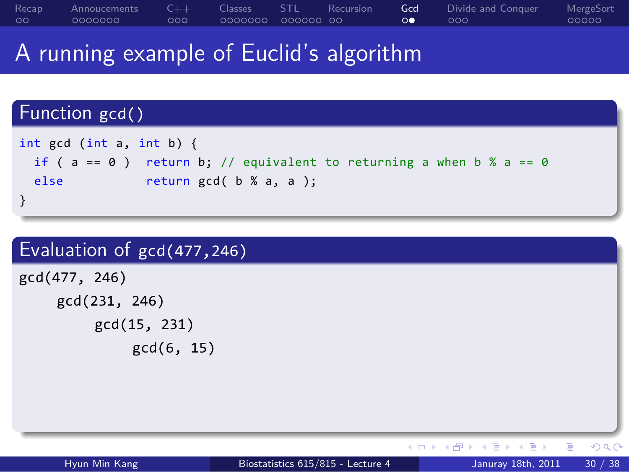## A running example of Euclid's algorithm

## Function gcd()

```
.
}
int gcd (int a, int b) {
 if ( a == 0 ) return b; // equivalent to returning a when b % a == 0else return gcd( b % a, a );
```
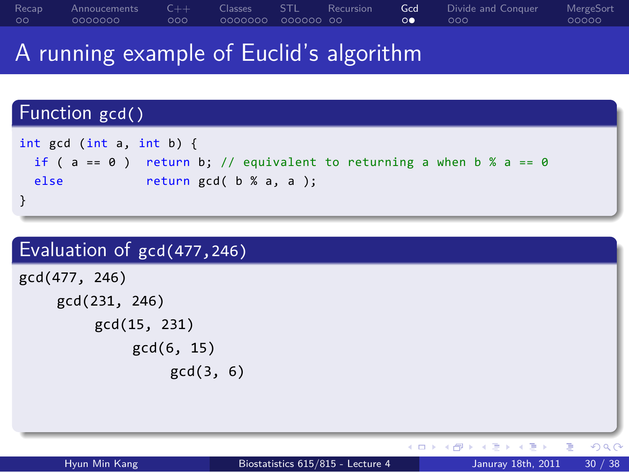A running example of Euclid's algorithm

```
\Box \Box \rightarrow \land \Box \rightarrow \land \Box \rightarrow \land \Box \rightarrow \land \Diamond \land \Box \rightarrow \land \Diamond \rightarrow \Box \land \Box \rightarrow \Box \land \Box \rightarrow \Box \land \Box \rightarrow \Box \land \Box \rightarrow \Box \land \Box \rightarrow \Box \land \Box \rightarrow Function gcd()
 .
}
 .. .
int gcd (int a, int b) {
  if ( a == 0 ) return b; // equivalent to returning a when b % a == 0else return gcd( b % a, a );
Evaluation of gcd(477,246)
 .. .
gcd(477, 246)
       gcd(231, 246)
             gcd(15, 231)
                    gcd(6, 15)
                          gcd(3, 6)
```
Hyun Min Kang Biostatistics 615/815 - Lecture 4 Januray 18th, 2011 30 / 38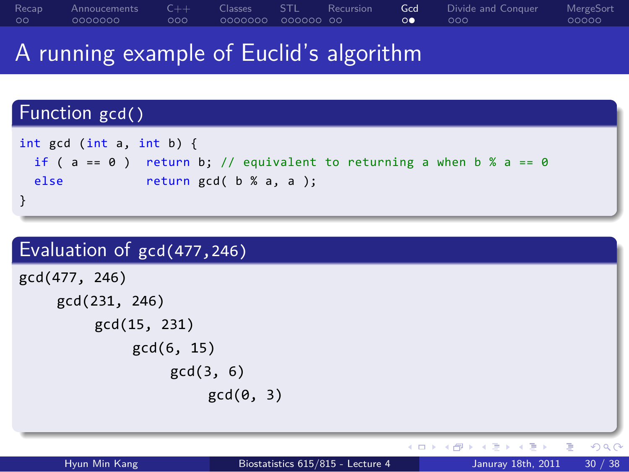## A running example of Euclid's algorithm

## Function gcd()

```
.
}
int gcd (int a, int b) {
 if ( a == 0 ) return b; // equivalent to returning a when b % a == 0else return gcd( b % a, a );
```
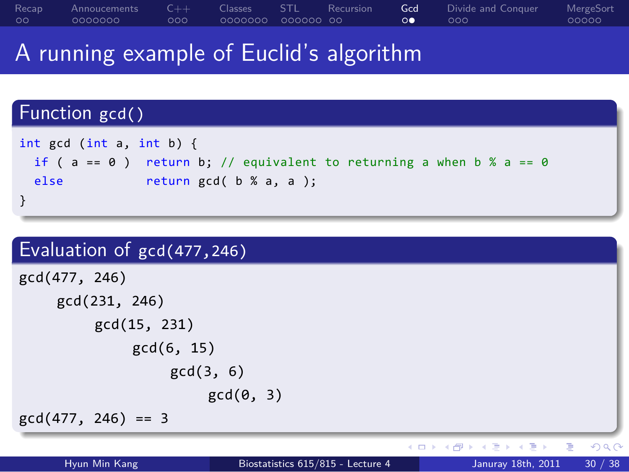## A running example of Euclid's algorithm

```
Function gcd()
```

```
.
}
int gcd (int a, int b) {
 if ( a == 0 ) return b; // equivalent to returning a when b % a == 0else return gcd( b % a, a );
```
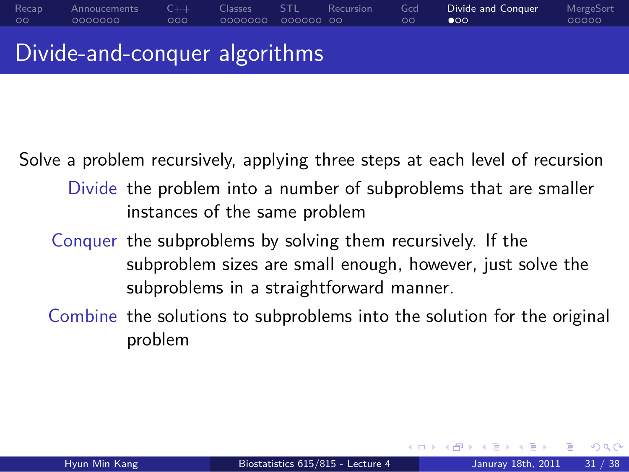### Recap<br>00 Annoucements<br>0000000 C++<br>000 Classes STL Recursion<br>0000000 000000 00 Gcd<br>00  $\bullet$ Divide MergeSort<br>00000

Divide-and-conquer algorithms

Solve a problem recursively, applying three steps at each level of recursion

- Divide the problem into a number of subproblems that are smaller instances of the same problem
- Conquer the subproblems by solving them recursively. If the subproblem sizes are small enough, however, just solve the subproblems in a straightforward manner.
- Combine the solutions to subproblems into the solution for the original problem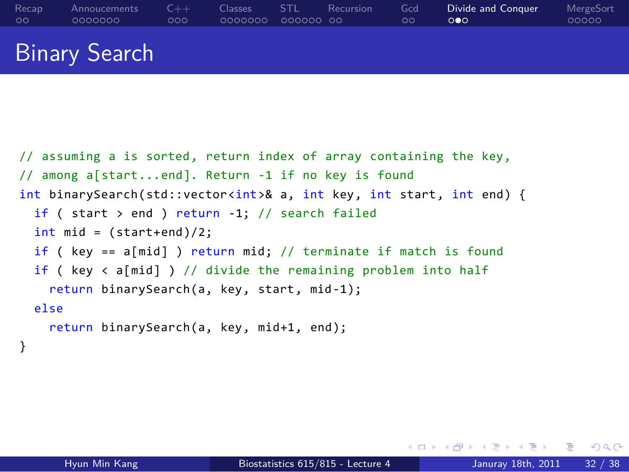```
// assuming a is sorted, return index of array containing the key,
// among a[start...end]. Return -1 if no key is found
int binarySearch(std::vector<int>& a, int key, int start, int end) {
  if ( start > end ) return -1; // search failed
  int mid = (start+end)/2;
  if ( key == a[mid] ) return mid; // terminate if match is found
  if ( key < a[mid] ) // divide the remaining problem into half
    return binarySearch(a, key, start, mid-1);
  else
    return binarySearch(a, key, mid+1, end);
}
```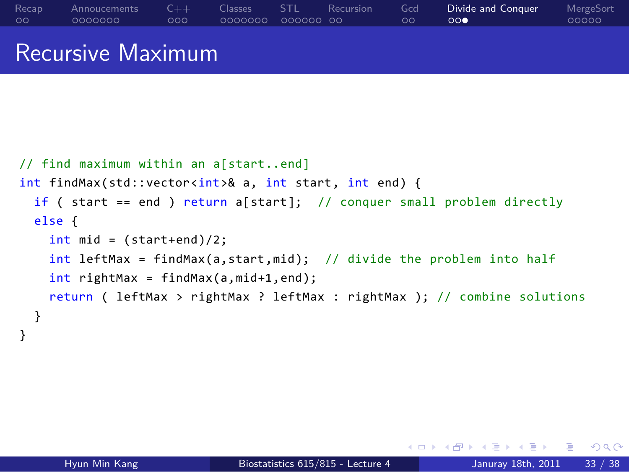```
// find maximum within an a[start..end]
int findMax(std::vector<int>& a, int start, int end) {
  if ( start == end ) return a[start]; // conquer small problem directly
  else {
   int mid = (start+end)/2;
   int leftMax = findMax(a,start,mid); // divide the problem into half
   int rightMax = findMax(a,mid+1,end);
    return ( leftMax > rightMax ? leftMax : rightMax ); // combine solutions
  }
}
```
Classes STL Recursion<br>0000000 000000 00

Gcd<br>00

Divide and Conquer<br>000

MergeSort<br>00000

### Recursive Maximum

C++<br>000

Annoucements<br>0000000

Recap<br>00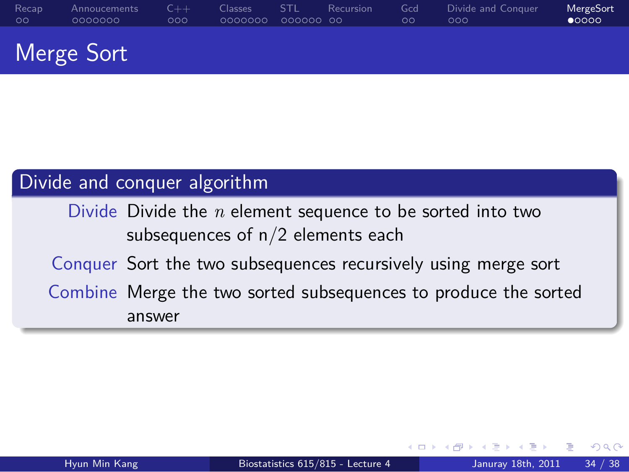## Divide and conquer algorithm Divide Divide the *n* element sequence to be sorted into two subsequences of n/2 elements each

.. . Conquer Sort the two subsequences recursively using merge sort Combine Merge the two sorted subsequences to produce the sorted answer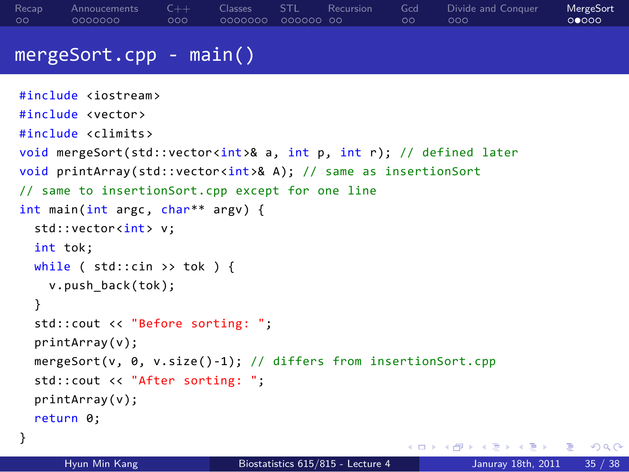```
. . . . . .
mergeSort.cpp - main()
#include <iostream>
#include <vector>
#include <climits>
void mergeSort(std::vector<int>& a, int p, int r); // defined later
void printArray(std::vector<int>& A); // same as insertionSort
// same to insertionSort.cpp except for one line
int main(int argc, char** argv) {
  std::vector<int> v;
  int tok;
  while ( std::cin \gg tok ) {
    v.push_back(tok);
  }
  std::cout << "Before sorting: ";
  printArray(v);
  mergeSort(v, 0, v.size()-1); // differs from insertionSort.cpp
  std::cout << "After sorting: ";
  printArray(v);
  return 0;
}
```
Classes STL Recursion<br>0000000 000000 00

Gcd<br>00

Divide and Conquer<br>000

MergeSort<br>00000

Recap<br>00

Annoucements<br>0000000

C++<br>000

```
Hyun Min Kang Biostatistics 615/815 - Lecture 4 Januray 18th, 2011 35 / 38
```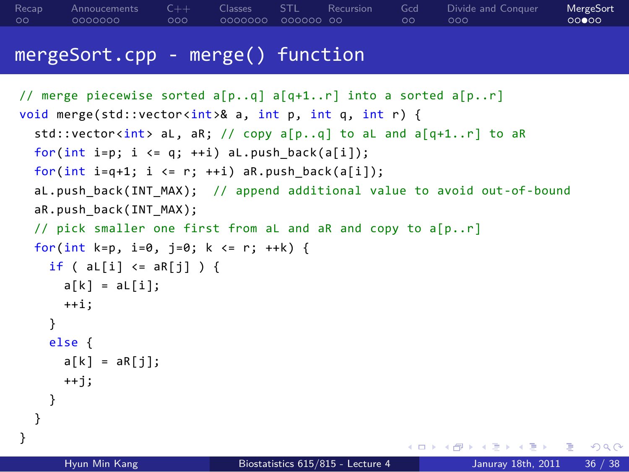### $\left\{ \begin{array}{ccc} \Box & \rightarrow & \left\langle \bigoplus \right\rangle \rightarrow & \left\langle \bigoplus \right\rangle \rightarrow & \left\langle \bigoplus \right\rangle \rightarrow & \left\langle \bigoplus \right\rangle \rightarrow & \left\langle \bigoplus \right\rangle \rightarrow & \left\langle \bigoplus \right\rangle \rightarrow & \left\langle \bigoplus \right\rangle \rightarrow & \left\langle \bigoplus \right\rangle \rightarrow & \left\langle \bigoplus \right\rangle \rightarrow & \left\langle \bigoplus \right\rangle \rightarrow & \left\langle \bigoplus \right\rangle \rightarrow & \left\langle \bigoplus \right\rangle \rightarrow & \left\langle \bigoplus \right\rangle \rightarrow & \left\langle \bigoplus$ mergeSort.cpp - merge() function // merge piecewise sorted a[p..q] a[q+1..r] into a sorted a[p..r] void merge(std::vector<int>& a, int p, int q, int r) { std::vector<int> aL, aR; // copy a[p..q] to aL and a[q+1..r] to aR for(int i=p; i <= q; ++i) aL.push\_back(a[i]); for(int i=q+1; i <= r; ++i)  $aR.push_back(a[i]);$ aL.push\_back(INT\_MAX); // append additional value to avoid out-of-bound aR.push\_back(INT\_MAX); // pick smaller one first from aL and aR and copy to a[p..r] for(int k=p, i=0, j=0; k <= r; ++k) {  $if (al[i] \leq aR[j])$   $\{$  $a[k] = aL[i];$ ++i; } else {  $a[k] = aR[j];$ ++j; } } } Hyun Min Kang Biostatistics 615/815 - Lecture 4 Januray 18th, 2011 36 / 38

Classes STL Recursion<br>0000000 000000 00

Gcd<br>00

 $000$ 

Divide and Conquer

MergeSort<br>00000

Recap<br>00

Annoucements<br>0000000

C++<br>000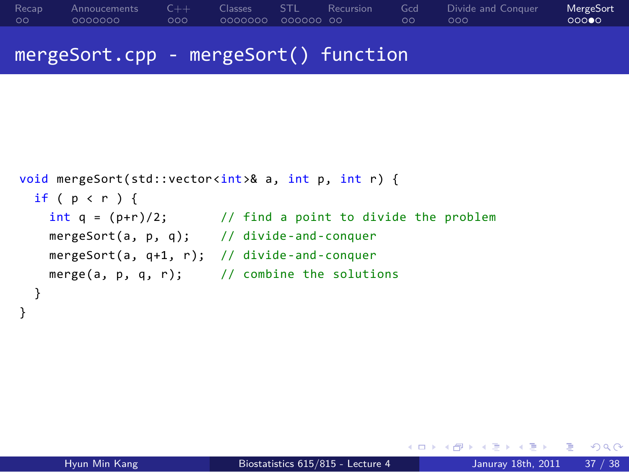```
Recap<br>00
             Annoucements<br>0000000
                                  C++<br>000
                                              Classes STL Recursion<br>0000000 000000 00
                                                                                     Gcd<br>00
                                                                                               Divide and Conquer<br>000
                                                                                                                          MergeSort<br>00000
mergeSort.cpp - mergeSort() function
```

```
void mergeSort(std::vector<int>& a, int p, int r) {
 if ( p < r ) {
   int q = (p+r)/2; // find a point to divide the problem
   mergeSort(a, p, q); // divide-and-conquer
   mergeSort(a, q+1, r); // divide-and-conquer
   merge(a, p, q, r); // combine the solutions
 }
}
```